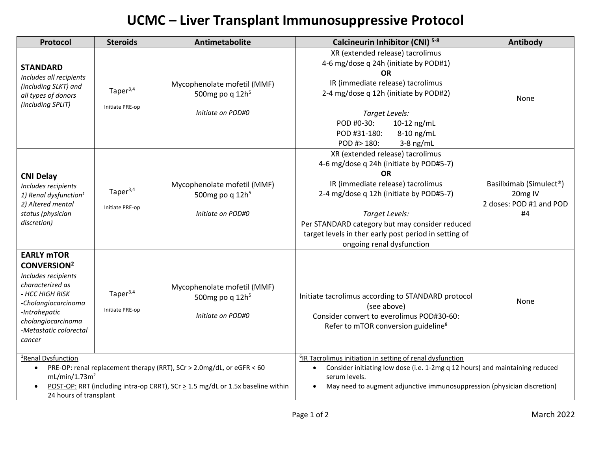## **UCMC – Liver Transplant Immunosuppressive Protocol**

| Protocol                                                                                                                                                                                                           | <b>Steroids</b>                   | Antimetabolite                                                                                                                                                | Calcineurin Inhibitor (CNI) 5-8                                                                                                                                                                                                                                                                                                    | Antibody                                                                         |  |
|--------------------------------------------------------------------------------------------------------------------------------------------------------------------------------------------------------------------|-----------------------------------|---------------------------------------------------------------------------------------------------------------------------------------------------------------|------------------------------------------------------------------------------------------------------------------------------------------------------------------------------------------------------------------------------------------------------------------------------------------------------------------------------------|----------------------------------------------------------------------------------|--|
| <b>STANDARD</b><br>Includes all recipients<br>(including SLKT) and<br>all types of donors<br>(including SPLIT)                                                                                                     | Tape $r^{3,4}$<br>Initiate PRE-op | Mycophenolate mofetil (MMF)<br>500mg po q $12h5$<br>Initiate on POD#0                                                                                         | XR (extended release) tacrolimus<br>4-6 mg/dose q 24h (initiate by POD#1)<br><b>OR</b><br>IR (immediate release) tacrolimus<br>2-4 mg/dose q 12h (initiate by POD#2)<br>Target Levels:<br>POD #0-30:<br>10-12 ng/mL<br>POD #31-180:<br>8-10 ng/mL<br>POD #> 180:<br>$3-8$ ng/mL                                                    | None                                                                             |  |
| <b>CNI Delay</b><br>Includes recipients<br>1) Renal dysfunction <sup>1</sup><br>2) Altered mental<br>status (physician<br>discretion)                                                                              | Tape $r^{3,4}$<br>Initiate PRE-op | Mycophenolate mofetil (MMF)<br>500mg po q 12h <sup>5</sup><br>Initiate on POD#0                                                                               | XR (extended release) tacrolimus<br>4-6 mg/dose q 24h (initiate by POD#5-7)<br><b>OR</b><br>IR (immediate release) tacrolimus<br>2-4 mg/dose q 12h (initiate by POD#5-7)<br>Target Levels:<br>Per STANDARD category but may consider reduced<br>target levels in ther early post period in setting of<br>ongoing renal dysfunction | Basiliximab (Simulect <sup>®</sup> )<br>20mg IV<br>2 doses: POD #1 and POD<br>#4 |  |
| <b>EARLY MTOR</b><br><b>CONVERSION<sup>2</sup></b><br>Includes recipients<br>characterized as<br>- HCC HIGH RISK<br>-Cholangiocarcinoma<br>-Intrahepatic<br>cholangiocarcinoma<br>-Metastatic colorectal<br>cancer | Tape $r^{3,4}$<br>Initiate PRE-op | Mycophenolate mofetil (MMF)<br>500mg po q $12h5$<br>Initiate on POD#0                                                                                         | Initiate tacrolimus according to STANDARD protocol<br>(see above)<br>Consider convert to everolimus POD#30-60:<br>Refer to mTOR conversion guideline <sup>8</sup>                                                                                                                                                                  | None                                                                             |  |
| <sup>1</sup> Renal Dysfunction<br>$\bullet$<br>mL/min/1.73m <sup>2</sup><br>24 hours of transplant                                                                                                                 |                                   | PRE-OP: renal replacement therapy (RRT), SCr $\geq$ 2.0mg/dL, or eGFR < 60<br>POST-OP: RRT (including intra-op CRRT), SCr > 1.5 mg/dL or 1.5x baseline within | <sup>6</sup> IR Tacrolimus initiation in setting of renal dysfunction<br>Consider initiating low dose (i.e. 1-2mg q 12 hours) and maintaining reduced<br>serum levels.<br>May need to augment adjunctive immunosuppression (physician discretion)                                                                                  |                                                                                  |  |